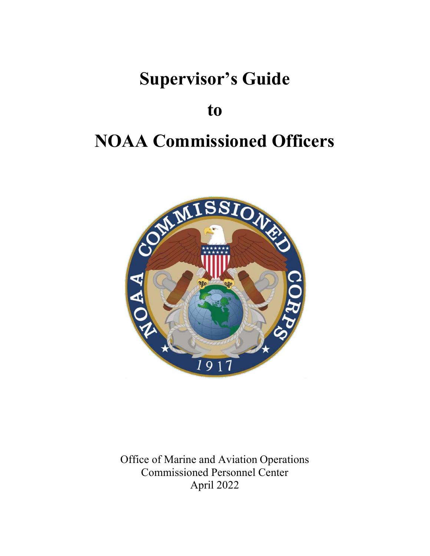## Supervisor's Guide

### to

# NOAA Commissioned Officers



Office of Marine and Aviation Operations Commissioned Personnel Center April 2022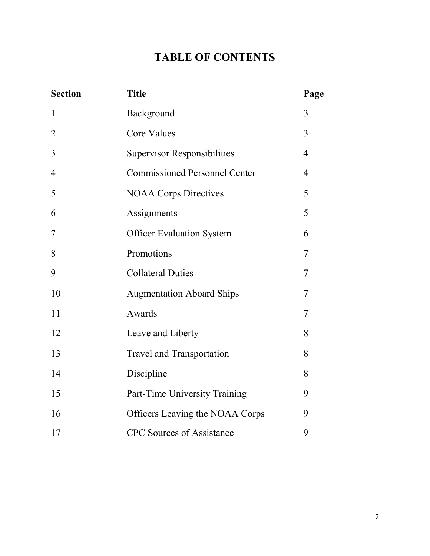### TABLE OF CONTENTS

| <b>Section</b> | <b>Title</b>                         | Page           |
|----------------|--------------------------------------|----------------|
| $\mathbf 1$    | Background                           | 3              |
| $\overline{2}$ | <b>Core Values</b>                   | 3              |
| 3              | <b>Supervisor Responsibilities</b>   | $\overline{4}$ |
| $\overline{4}$ | <b>Commissioned Personnel Center</b> | $\overline{4}$ |
| 5              | <b>NOAA Corps Directives</b>         | 5              |
| 6              | Assignments                          | 5              |
| 7              | <b>Officer Evaluation System</b>     | 6              |
| 8              | Promotions                           | 7              |
| 9              | <b>Collateral Duties</b>             | 7              |
| 10             | <b>Augmentation Aboard Ships</b>     | 7              |
| 11             | Awards                               | 7              |
| 12             | Leave and Liberty                    | 8              |
| 13             | <b>Travel and Transportation</b>     | 8              |
| 14             | Discipline                           | 8              |
| 15             | Part-Time University Training        | 9              |
| 16             | Officers Leaving the NOAA Corps      | 9              |
| 17             | <b>CPC</b> Sources of Assistance     | 9              |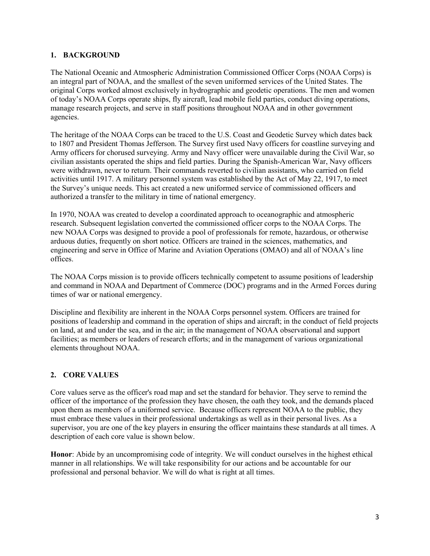#### 1. BACKGROUND

The National Oceanic and Atmospheric Administration Commissioned Officer Corps (NOAA Corps) is an integral part of NOAA, and the smallest of the seven uniformed services of the United States. The original Corps worked almost exclusively in hydrographic and geodetic operations. The men and women of today's NOAA Corps operate ships, fly aircraft, lead mobile field parties, conduct diving operations, manage research projects, and serve in staff positions throughout NOAA and in other government agencies.

The heritage of the NOAA Corps can be traced to the U.S. Coast and Geodetic Survey which dates back to 1807 and President Thomas Jefferson. The Survey first used Navy officers for coastline surveying and Army officers for chorused surveying. Army and Navy officer were unavailable during the Civil War, so civilian assistants operated the ships and field parties. During the Spanish-American War, Navy officers were withdrawn, never to return. Their commands reverted to civilian assistants, who carried on field activities until 1917. A military personnel system was established by the Act of May 22, 1917, to meet the Survey's unique needs. This act created a new uniformed service of commissioned officers and authorized a transfer to the military in time of national emergency.

In 1970, NOAA was created to develop a coordinated approach to oceanographic and atmospheric research. Subsequent legislation converted the commissioned officer corps to the NOAA Corps. The new NOAA Corps was designed to provide a pool of professionals for remote, hazardous, or otherwise arduous duties, frequently on short notice. Officers are trained in the sciences, mathematics, and engineering and serve in Office of Marine and Aviation Operations (OMAO) and all of NOAA's line offices.

The NOAA Corps mission is to provide officers technically competent to assume positions of leadership and command in NOAA and Department of Commerce (DOC) programs and in the Armed Forces during times of war or national emergency.

Discipline and flexibility are inherent in the NOAA Corps personnel system. Officers are trained for positions of leadership and command in the operation of ships and aircraft; in the conduct of field projects on land, at and under the sea, and in the air; in the management of NOAA observational and support facilities; as members or leaders of research efforts; and in the management of various organizational elements throughout NOAA.

#### 2. CORE VALUES

Core values serve as the officer's road map and set the standard for behavior. They serve to remind the officer of the importance of the profession they have chosen, the oath they took, and the demands placed upon them as members of a uniformed service. Because officers represent NOAA to the public, they must embrace these values in their professional undertakings as well as in their personal lives. As a supervisor, you are one of the key players in ensuring the officer maintains these standards at all times. A description of each core value is shown below.

Honor: Abide by an uncompromising code of integrity. We will conduct ourselves in the highest ethical manner in all relationships. We will take responsibility for our actions and be accountable for our professional and personal behavior. We will do what is right at all times.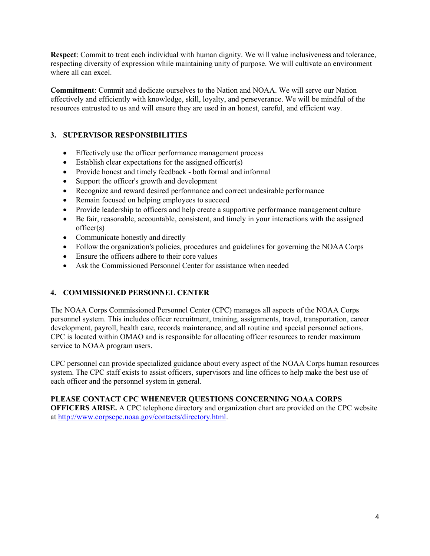Respect: Commit to treat each individual with human dignity. We will value inclusiveness and tolerance, respecting diversity of expression while maintaining unity of purpose. We will cultivate an environment where all can excel.

Commitment: Commit and dedicate ourselves to the Nation and NOAA. We will serve our Nation effectively and efficiently with knowledge, skill, loyalty, and perseverance. We will be mindful of the resources entrusted to us and will ensure they are used in an honest, careful, and efficient way.

#### 3. SUPERVISOR RESPONSIBILITIES

- Effectively use the officer performance management process
- Establish clear expectations for the assigned officer(s)
- Provide honest and timely feedback both formal and informal
- Support the officer's growth and development
- Recognize and reward desired performance and correct undesirable performance
- Remain focused on helping employees to succeed
- Provide leadership to officers and help create a supportive performance management culture
- Be fair, reasonable, accountable, consistent, and timely in your interactions with the assigned officer(s)
- Communicate honestly and directly
- Follow the organization's policies, procedures and guidelines for governing the NOAA Corps
- Ensure the officers adhere to their core values
- Ask the Commissioned Personnel Center for assistance when needed

#### 4. COMMISSIONED PERSONNEL CENTER

The NOAA Corps Commissioned Personnel Center (CPC) manages all aspects of the NOAA Corps personnel system. This includes officer recruitment, training, assignments, travel, transportation, career development, payroll, health care, records maintenance, and all routine and special personnel actions. CPC is located within OMAO and is responsible for allocating officer resources to render maximum service to NOAA program users.

CPC personnel can provide specialized guidance about every aspect of the NOAA Corps human resources system. The CPC staff exists to assist officers, supervisors and line offices to help make the best use of each officer and the personnel system in general.

#### PLEASE CONTACT CPC WHENEVER QUESTIONS CONCERNING NOAA CORPS

OFFICERS ARISE. A CPC telephone directory and organization chart are provided on the CPC website at http://www.corpscpc.noaa.gov/contacts/directory.html.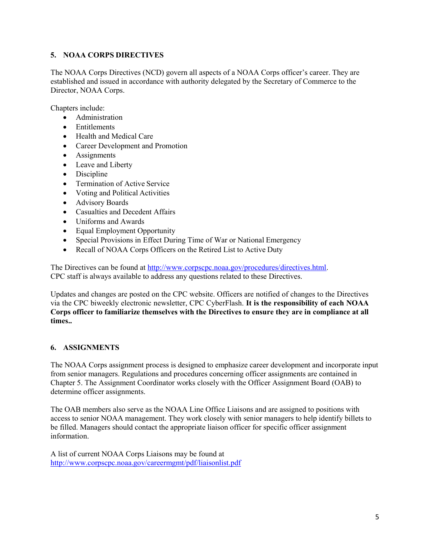#### 5. NOAA CORPS DIRECTIVES

The NOAA Corps Directives (NCD) govern all aspects of a NOAA Corps officer's career. They are established and issued in accordance with authority delegated by the Secretary of Commerce to the Director, NOAA Corps.

Chapters include:

- Administration
- Entitlements
- Health and Medical Care
- Career Development and Promotion
- Assignments
- Leave and Liberty
- Discipline
- Termination of Active Service
- Voting and Political Activities
- Advisory Boards
- Casualties and Decedent Affairs
- Uniforms and Awards
- Equal Employment Opportunity
- Special Provisions in Effect During Time of War or National Emergency
- Recall of NOAA Corps Officers on the Retired List to Active Duty

The Directives can be found at http://www.corpscpc.noaa.gov/procedures/directives.html. CPC staff is always available to address any questions related to these Directives.

Updates and changes are posted on the CPC website. Officers are notified of changes to the Directives via the CPC biweekly electronic newsletter, CPC CyberFlash. It is the responsibility of each NOAA Corps officer to familiarize themselves with the Directives to ensure they are in compliance at all times..

#### 6. ASSIGNMENTS

The NOAA Corps assignment process is designed to emphasize career development and incorporate input from senior managers. Regulations and procedures concerning officer assignments are contained in Chapter 5. The Assignment Coordinator works closely with the Officer Assignment Board (OAB) to determine officer assignments.

The OAB members also serve as the NOAA Line Office Liaisons and are assigned to positions with access to senior NOAA management. They work closely with senior managers to help identify billets to be filled. Managers should contact the appropriate liaison officer for specific officer assignment information.

A list of current NOAA Corps Liaisons may be found at http://www.corpscpc.noaa.gov/careermgmt/pdf/liaisonlist.pdf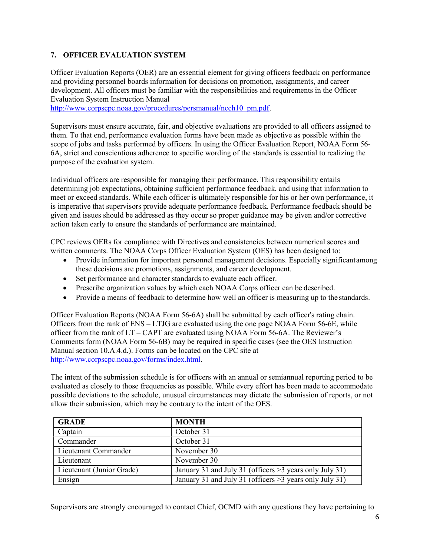#### 7. OFFICER EVALUATION SYSTEM

Officer Evaluation Reports (OER) are an essential element for giving officers feedback on performance and providing personnel boards information for decisions on promotion, assignments, and career development. All officers must be familiar with the responsibilities and requirements in the Officer Evaluation System Instruction Manual

http://www.corpscpc.noaa.gov/procedures/persmanual/ncch10\_pm.pdf.

Supervisors must ensure accurate, fair, and objective evaluations are provided to all officers assigned to them. To that end, performance evaluation forms have been made as objective as possible within the scope of jobs and tasks performed by officers. In using the Officer Evaluation Report, NOAA Form 56- 6A, strict and conscientious adherence to specific wording of the standards is essential to realizing the purpose of the evaluation system.

Individual officers are responsible for managing their performance. This responsibility entails determining job expectations, obtaining sufficient performance feedback, and using that information to meet or exceed standards. While each officer is ultimately responsible for his or her own performance, it is imperative that supervisors provide adequate performance feedback. Performance feedback should be given and issues should be addressed as they occur so proper guidance may be given and/or corrective action taken early to ensure the standards of performance are maintained.

CPC reviews OERs for compliance with Directives and consistencies between numerical scores and written comments. The NOAA Corps Officer Evaluation System (OES) has been designed to:

- Provide information for important personnel management decisions. Especially significant among these decisions are promotions, assignments, and career development.
- Set performance and character standards to evaluate each officer.
- Prescribe organization values by which each NOAA Corps officer can be described.
- Provide a means of feedback to determine how well an officer is measuring up to the standards.

Officer Evaluation Reports (NOAA Form 56-6A) shall be submitted by each officer's rating chain. Officers from the rank of ENS – LTJG are evaluated using the one page NOAA Form 56-6E, while officer from the rank of LT – CAPT are evaluated using NOAA Form 56-6A. The Reviewer's Comments form (NOAA Form 56-6B) may be required in specific cases (see the OES Instruction Manual section 10.A.4.d.). Forms can be located on the CPC site at http://www.corpscpc.noaa.gov/forms/index.html.

The intent of the submission schedule is for officers with an annual or semiannual reporting period to be evaluated as closely to those frequencies as possible. While every effort has been made to accommodate possible deviations to the schedule, unusual circumstances may dictate the submission of reports, or not allow their submission, which may be contrary to the intent of the OES.

| <b>GRADE</b>              | <b>MONTH</b>                                             |  |
|---------------------------|----------------------------------------------------------|--|
| Captain                   | October 31                                               |  |
| Commander                 | October 31                                               |  |
| Lieutenant Commander      | November 30                                              |  |
| Lieutenant                | November 30                                              |  |
| Lieutenant (Junior Grade) | January 31 and July 31 (officers > 3 years only July 31) |  |
| Ensign                    | January 31 and July 31 (officers > 3 years only July 31) |  |

Supervisors are strongly encouraged to contact Chief, OCMD with any questions they have pertaining to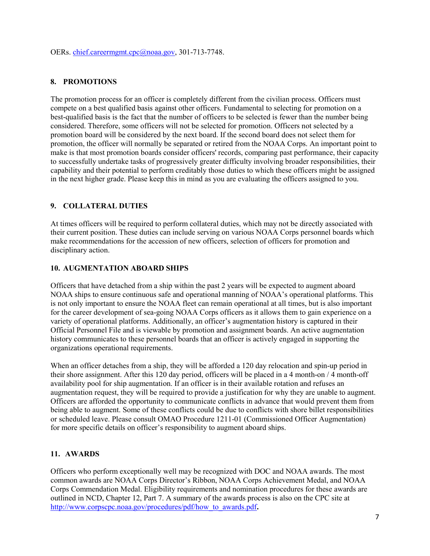OERs. chief.careermgmt.cpc@noaa.gov, 301-713-7748.

#### 8. PROMOTIONS

The promotion process for an officer is completely different from the civilian process. Officers must compete on a best qualified basis against other officers. Fundamental to selecting for promotion on a best-qualified basis is the fact that the number of officers to be selected is fewer than the number being considered. Therefore, some officers will not be selected for promotion. Officers not selected by a promotion board will be considered by the next board. If the second board does not select them for promotion, the officer will normally be separated or retired from the NOAA Corps. An important point to make is that most promotion boards consider officers' records, comparing past performance, their capacity to successfully undertake tasks of progressively greater difficulty involving broader responsibilities, their capability and their potential to perform creditably those duties to which these officers might be assigned in the next higher grade. Please keep this in mind as you are evaluating the officers assigned to you.

#### 9. COLLATERAL DUTIES

At times officers will be required to perform collateral duties, which may not be directly associated with their current position. These duties can include serving on various NOAA Corps personnel boards which make recommendations for the accession of new officers, selection of officers for promotion and disciplinary action.

#### 10. AUGMENTATION ABOARD SHIPS

Officers that have detached from a ship within the past 2 years will be expected to augment aboard NOAA ships to ensure continuous safe and operational manning of NOAA's operational platforms. This is not only important to ensure the NOAA fleet can remain operational at all times, but is also important for the career development of sea-going NOAA Corps officers as it allows them to gain experience on a variety of operational platforms. Additionally, an officer's augmentation history is captured in their Official Personnel File and is viewable by promotion and assignment boards. An active augmentation history communicates to these personnel boards that an officer is actively engaged in supporting the organizations operational requirements.

When an officer detaches from a ship, they will be afforded a 120 day relocation and spin-up period in their shore assignment. After this 120 day period, officers will be placed in a 4 month-on / 4 month-off availability pool for ship augmentation. If an officer is in their available rotation and refuses an augmentation request, they will be required to provide a justification for why they are unable to augment. Officers are afforded the opportunity to communicate conflicts in advance that would prevent them from being able to augment. Some of these conflicts could be due to conflicts with shore billet responsibilities or scheduled leave. Please consult OMAO Procedure 1211-01 (Commissioned Officer Augmentation) for more specific details on officer's responsibility to augment aboard ships.

#### 11. AWARDS

Officers who perform exceptionally well may be recognized with DOC and NOAA awards. The most common awards are NOAA Corps Director's Ribbon, NOAA Corps Achievement Medal, and NOAA Corps Commendation Medal. Eligibility requirements and nomination procedures for these awards are outlined in NCD, Chapter 12, Part 7. A summary of the awards process is also on the CPC site at http://www.corpscpc.noaa.gov/procedures/pdf/how to awards.pdf.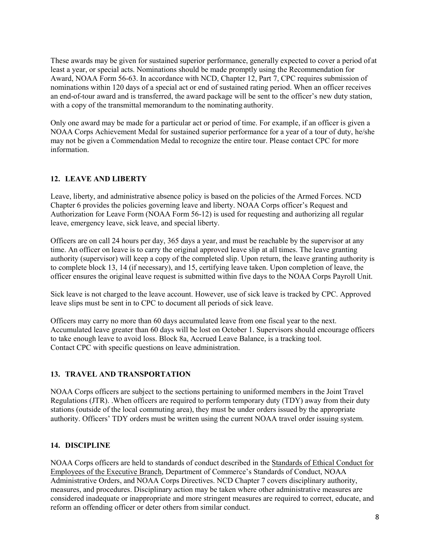These awards may be given for sustained superior performance, generally expected to cover a period of at least a year, or special acts. Nominations should be made promptly using the Recommendation for Award, NOAA Form 56-63. In accordance with NCD, Chapter 12, Part 7, CPC requires submission of nominations within 120 days of a special act or end of sustained rating period. When an officer receives an end-of-tour award and is transferred, the award package will be sent to the officer's new duty station, with a copy of the transmittal memorandum to the nominating authority.

Only one award may be made for a particular act or period of time. For example, if an officer is given a NOAA Corps Achievement Medal for sustained superior performance for a year of a tour of duty, he/she may not be given a Commendation Medal to recognize the entire tour. Please contact CPC for more information.

#### 12. LEAVE AND LIBERTY

Leave, liberty, and administrative absence policy is based on the policies of the Armed Forces. NCD Chapter 6 provides the policies governing leave and liberty. NOAA Corps officer's Request and Authorization for Leave Form (NOAA Form 56-12) is used for requesting and authorizing all regular leave, emergency leave, sick leave, and special liberty.

Officers are on call 24 hours per day, 365 days a year, and must be reachable by the supervisor at any time. An officer on leave is to carry the original approved leave slip at all times. The leave granting authority (supervisor) will keep a copy of the completed slip. Upon return, the leave granting authority is to complete block 13, 14 (if necessary), and 15, certifying leave taken. Upon completion of leave, the officer ensures the original leave request is submitted within five days to the NOAA Corps Payroll Unit.

Sick leave is not charged to the leave account. However, use of sick leave is tracked by CPC. Approved leave slips must be sent in to CPC to document all periods of sick leave.

Officers may carry no more than 60 days accumulated leave from one fiscal year to the next. Accumulated leave greater than 60 days will be lost on October 1. Supervisors should encourage officers to take enough leave to avoid loss. Block 8a, Accrued Leave Balance, is a tracking tool. Contact CPC with specific questions on leave administration.

#### 13. TRAVEL AND TRANSPORTATION

NOAA Corps officers are subject to the sections pertaining to uniformed members in the Joint Travel Regulations (JTR). .When officers are required to perform temporary duty (TDY) away from their duty stations (outside of the local commuting area), they must be under orders issued by the appropriate authority. Officers' TDY orders must be written using the current NOAA travel order issuing system.

#### 14. DISCIPLINE

NOAA Corps officers are held to standards of conduct described in the Standards of Ethical Conduct for Employees of the Executive Branch, Department of Commerce's Standards of Conduct, NOAA Administrative Orders, and NOAA Corps Directives. NCD Chapter 7 covers disciplinary authority, measures, and procedures. Disciplinary action may be taken where other administrative measures are considered inadequate or inappropriate and more stringent measures are required to correct, educate, and reform an offending officer or deter others from similar conduct.